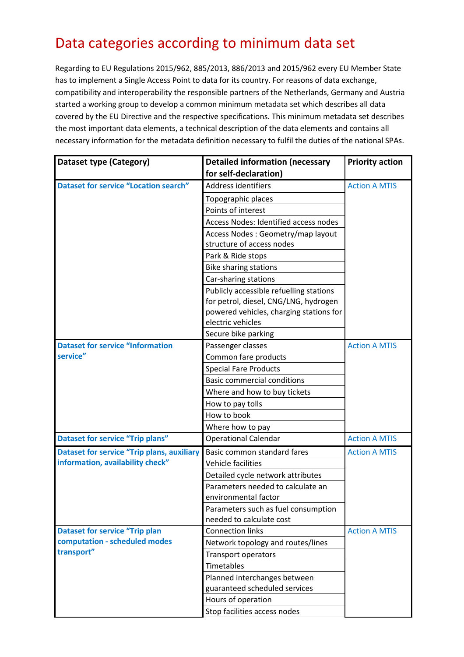## Data categories according to minimum data set

Regarding to EU Regulations 2015/962, 885/2013, 886/2013 and 2015/962 every EU Member State has to implement a Single Access Point to data for its country. For reasons of data exchange, compatibility and interoperability the responsible partners of the Netherlands, Germany and Austria started a working group to develop a common minimum metadata set which describes all data covered by the EU Directive and the respective specifications. This minimum metadata set describes the most important data elements, a technical description of the data elements and contains all necessary information for the metadata definition necessary to fulfil the duties of the national SPAs.

| Dataset type (Category)                           | <b>Detailed information (necessary</b>  | <b>Priority action</b> |
|---------------------------------------------------|-----------------------------------------|------------------------|
|                                                   | for self-declaration)                   |                        |
| <b>Dataset for service "Location search"</b>      | Address identifiers                     | <b>Action A MTIS</b>   |
|                                                   | Topographic places                      |                        |
|                                                   | Points of interest                      |                        |
|                                                   | Access Nodes: Identified access nodes   |                        |
|                                                   | Access Nodes: Geometry/map layout       |                        |
|                                                   | structure of access nodes               |                        |
|                                                   | Park & Ride stops                       |                        |
|                                                   | <b>Bike sharing stations</b>            |                        |
|                                                   | Car-sharing stations                    |                        |
|                                                   | Publicly accessible refuelling stations |                        |
|                                                   | for petrol, diesel, CNG/LNG, hydrogen   |                        |
|                                                   | powered vehicles, charging stations for |                        |
|                                                   | electric vehicles                       |                        |
|                                                   | Secure bike parking                     |                        |
| <b>Dataset for service "Information</b>           | Passenger classes                       | <b>Action A MTIS</b>   |
| service"                                          | Common fare products                    |                        |
|                                                   | <b>Special Fare Products</b>            |                        |
|                                                   | <b>Basic commercial conditions</b>      |                        |
|                                                   | Where and how to buy tickets            |                        |
|                                                   | How to pay tolls                        |                        |
|                                                   | How to book                             |                        |
|                                                   | Where how to pay                        |                        |
| <b>Dataset for service "Trip plans"</b>           | <b>Operational Calendar</b>             | <b>Action A MTIS</b>   |
| <b>Dataset for service "Trip plans, auxiliary</b> | Basic common standard fares             | <b>Action A MTIS</b>   |
| information, availability check"                  | Vehicle facilities                      |                        |
|                                                   | Detailed cycle network attributes       |                        |
|                                                   | Parameters needed to calculate an       |                        |
|                                                   | environmental factor                    |                        |
|                                                   | Parameters such as fuel consumption     |                        |
|                                                   | needed to calculate cost                |                        |
| <b>Dataset for service "Trip plan</b>             | <b>Connection links</b>                 | <b>Action A MTIS</b>   |
| computation - scheduled modes                     | Network topology and routes/lines       |                        |
| transport"                                        | <b>Transport operators</b>              |                        |
|                                                   | Timetables                              |                        |
|                                                   | Planned interchanges between            |                        |
|                                                   | guaranteed scheduled services           |                        |
|                                                   | Hours of operation                      |                        |
|                                                   | Stop facilities access nodes            |                        |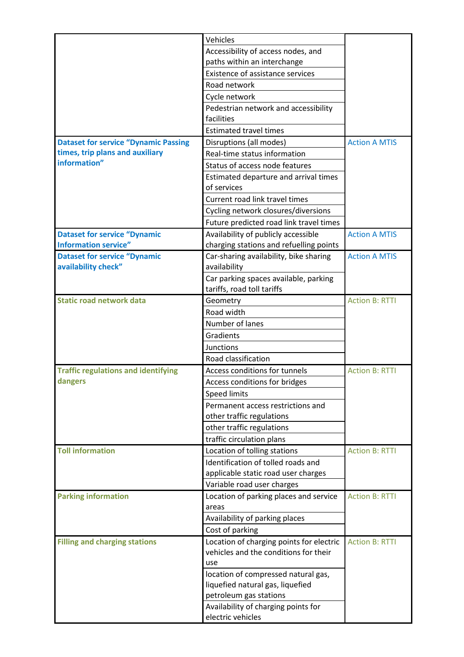|                                             | Vehicles                                 |                       |
|---------------------------------------------|------------------------------------------|-----------------------|
|                                             | Accessibility of access nodes, and       |                       |
|                                             | paths within an interchange              |                       |
|                                             | <b>Existence of assistance services</b>  |                       |
|                                             | Road network                             |                       |
|                                             | Cycle network                            |                       |
|                                             | Pedestrian network and accessibility     |                       |
|                                             | facilities                               |                       |
|                                             | <b>Estimated travel times</b>            |                       |
| <b>Dataset for service "Dynamic Passing</b> | Disruptions (all modes)                  | <b>Action A MTIS</b>  |
| times, trip plans and auxiliary             | Real-time status information             |                       |
| information"                                | Status of access node features           |                       |
|                                             | Estimated departure and arrival times    |                       |
|                                             | of services                              |                       |
|                                             | Current road link travel times           |                       |
|                                             | Cycling network closures/diversions      |                       |
|                                             | Future predicted road link travel times  |                       |
| <b>Dataset for service "Dynamic</b>         | Availability of publicly accessible      | <b>Action A MTIS</b>  |
| <b>Information service"</b>                 | charging stations and refuelling points  |                       |
| <b>Dataset for service "Dynamic</b>         | Car-sharing availability, bike sharing   | <b>Action A MTIS</b>  |
| availability check"                         | availability                             |                       |
|                                             | Car parking spaces available, parking    |                       |
|                                             | tariffs, road toll tariffs               |                       |
| <b>Static road network data</b>             | Geometry                                 | <b>Action B: RTTI</b> |
|                                             | Road width                               |                       |
|                                             | Number of lanes                          |                       |
|                                             | Gradients                                |                       |
|                                             | Junctions                                |                       |
|                                             | Road classification                      |                       |
| <b>Traffic regulations and identifying</b>  | Access conditions for tunnels            | <b>Action B: RTTI</b> |
| dangers                                     | Access conditions for bridges            |                       |
|                                             | Speed limits                             |                       |
|                                             | Permanent access restrictions and        |                       |
|                                             | other traffic regulations                |                       |
|                                             | other traffic regulations                |                       |
|                                             | traffic circulation plans                |                       |
| <b>Toll information</b>                     | Location of tolling stations             | <b>Action B: RTTI</b> |
|                                             | Identification of tolled roads and       |                       |
|                                             | applicable static road user charges      |                       |
|                                             | Variable road user charges               |                       |
| <b>Parking information</b>                  | Location of parking places and service   | <b>Action B: RTTI</b> |
|                                             | areas                                    |                       |
|                                             | Availability of parking places           |                       |
|                                             | Cost of parking                          |                       |
| <b>Filling and charging stations</b>        | Location of charging points for electric | <b>Action B: RTTI</b> |
|                                             | vehicles and the conditions for their    |                       |
|                                             | use                                      |                       |
|                                             | location of compressed natural gas,      |                       |
|                                             | liquefied natural gas, liquefied         |                       |
|                                             | petroleum gas stations                   |                       |
|                                             | Availability of charging points for      |                       |
|                                             | electric vehicles                        |                       |